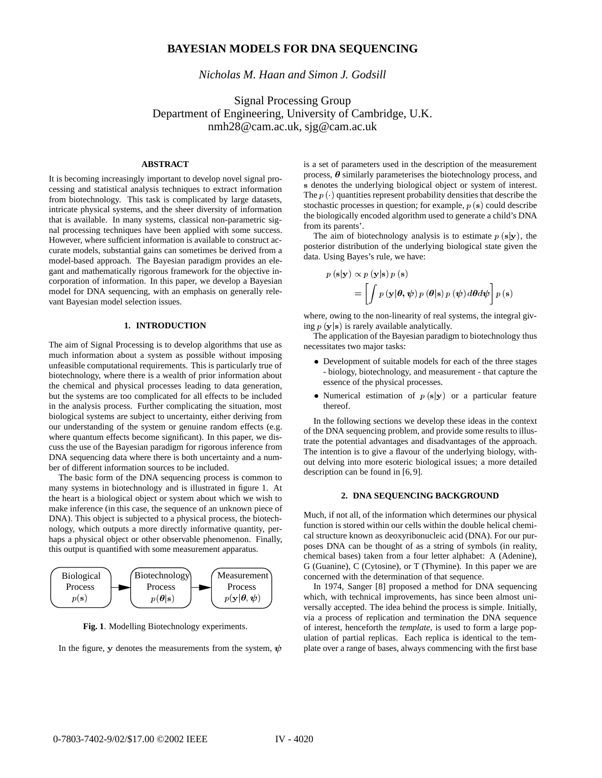# **BAYESIAN MODELS FOR DNA SEQUENCING**

*Nicholas M. Haan and Simon J. Godsill*

Signal Processing Group Department of Engineering, University of Cambridge, U.K. nmh28@cam.ac.uk, sjg@cam.ac.uk

# **ABSTRACT**

It is becoming increasingly important to develop novel signal processing and statistical analysis techniques to extract information from biotechnology. This task is complicated by large datasets, intricate physical systems, and the sheer diversity of information that is available. In many systems, classical non-parametric signal processing techniques have been applied with some success. However, where sufficient information is available to construct accurate models, substantial gains can sometimes be derived from a model-based approach. The Bayesian paradigm provides an elegant and mathematically rigorous framework for the objective incorporation of information. In this paper, we develop a Bayesian model for DNA sequencing, with an emphasis on generally relevant Bayesian model selection issues.

# **1. INTRODUCTION**

The aim of Signal Processing is to develop algorithms that use as much information about a system as possible without imposing unfeasible computational requirements. This is particularly true of biotechnology, where there is a wealth of prior information about the chemical and physical processes leading to data generation, but the systems are too complicated for all effects to be included in the analysis process. Further complicating the situation, most biological systems are subject to uncertainty, either deriving from our understanding of the system or genuine random effects (e.g. where quantum effects become significant). In this paper, we discuss the use of the Bayesian paradigm for rigorous inference from DNA sequencing data where there is both uncertainty and a number of different information sources to be included.

The basic form of the DNA sequencing process is common to many systems in biotechnology and is illustrated in figure 1. At the heart is a biological object or system about which we wish to make inference (in this case, the sequence of an unknown piece of DNA). This object is subjected to a physical process, the biotechnology, which outputs a more directly informative quantity, perhaps a physical object or other observable phenomenon. Finally, this output is quantified with some measurement apparatus.



**Fig. 1**. Modelling Biotechnology experiments.

In the figure, y denotes the measurements from the system,  $\psi$ 

is a set of parameters used in the description of the measurement process,  $\theta$  similarly parameterises the biotechnology process, and s denotes the underlying biological object or system of interest. The  $p(\cdot)$  quantities represent probability densities that describe the stochastic processes in question; for example,  $p(s)$  could describe the biologically encoded algorithm used to generate a child's DNA from its parents'.

The aim of biotechnology analysis is to estimate  $p(s|y)$ , the posterior distribution of the underlying biological state given the data. Using Bayes's rule, we have:

$$
p(\mathbf{s}|\mathbf{y}) \propto p(\mathbf{y}|\mathbf{s}) p(\mathbf{s})
$$
  
= 
$$
\left[ \int p(\mathbf{y}|\boldsymbol{\theta}, \boldsymbol{\psi}) p(\boldsymbol{\theta}|\mathbf{s}) p(\boldsymbol{\psi}) d\boldsymbol{\theta} d\boldsymbol{\psi} \right] p(\mathbf{s})
$$

where, owing to the non-linearity of real systems, the integral giving  $p(y|s)$  is rarely available analytically.

The application of the Bayesian paradigm to biotechnology thus necessitates two major tasks:

- Development of suitable models for each of the three stages - biology, biotechnology, and measurement - that capture the essence of the physical processes.
- Numerical estimation of  $p(s|y)$  or a particular feature thereof.

In the following sections we develop these ideas in the context of the DNA sequencing problem, and provide some results to illustrate the potential advantages and disadvantages of the approach. The intention is to give a flavour of the underlying biology, without delving into more esoteric biological issues; a more detailed description can be found in [6, 9].

## **2. DNA SEQUENCING BACKGROUND**

Much, if not all, of the information which determines our physical function is stored within our cells within the double helical chemical structure known as deoxyribonucleic acid (DNA). For our purposes DNA can be thought of as a string of symbols (in reality, chemical bases) taken from a four letter alphabet: A (Adenine), G (Guanine), C (Cytosine), or T (Thymine). In this paper we are concerned with the determination of that sequence.

 plate over a range of bases, always commencing with the first base In 1974, Sanger [8] proposed a method for DNA sequencing which, with technical improvements, has since been almost universally accepted. The idea behind the process is simple. Initially, via a process of replication and termination the DNA sequence of interest, henceforth the *template*, is used to form a large population of partial replicas. Each replica is identical to the tem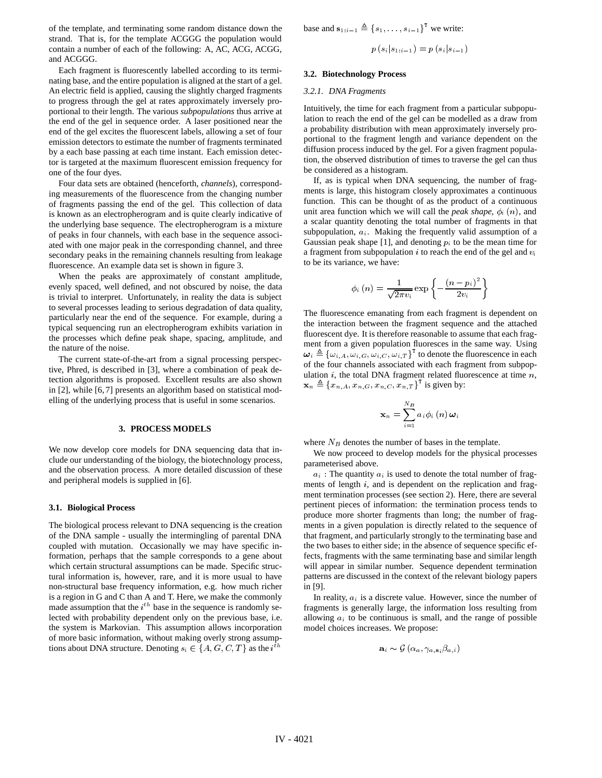of the template, and terminating some random distance down the strand. That is, for the template ACGGG the population would contain a number of each of the following: A, AC, ACG, ACGG, and ACGGG.

Each fragment is fluorescently labelled according to its terminating base, and the entire population is aligned at the start of a gel. An electric field is applied, causing the slightly charged fragments to progress through the gel at rates approximately inversely proportional to their length. The various *subpopulations* thus arrive at the end of the gel in sequence order. A laser positioned near the end of the gel excites the fluorescent labels, allowing a set of four emission detectors to estimate the number of fragments terminated by a each base passing at each time instant. Each emission detector is targeted at the maximum fluorescent emission frequency for one of the four dyes.

Four data sets are obtained (henceforth, *channels*), corresponding measurements of the fluorescence from the changing number of fragments passing the end of the gel. This collection of data is known as an electropherogram and is quite clearly indicative of the underlying base sequence. The electropherogram is a mixture of peaks in four channels, with each base in the sequence associated with one major peak in the corresponding channel, and three secondary peaks in the remaining channels resulting from leakage fluorescence. An example data set is shown in figure 3.

When the peaks are approximately of constant amplitude, evenly spaced, well defined, and not obscured by noise, the data is trivial to interpret. Unfortunately, in reality the data is subject to several processes leading to serious degradation of data quality, particularly near the end of the sequence. For example, during a typical sequencing run an electropherogram exhibits variation in the processes which define peak shape, spacing, amplitude, and the nature of the noise.

The current state-of-the-art from a signal processing perspective, Phred, is described in [3], where a combination of peak detection algorithms is proposed. Excellent results are also shown in [2], while [6, 7] presents an algorithm based on statistical modelling of the underlying process that is useful in some scenarios.

### **3. PROCESS MODELS**

We now develop core models for DNA sequencing data that include our understanding of the biology, the biotechnology process, and the observation process. A more detailed discussion of these and peripheral models is supplied in [6].

#### **3.1. Biological Process**

The biological process relevant to DNA sequencing is the creation of the DNA sample - usually the intermingling of parental DNA coupled with mutation. Occasionally we may have specific information, perhaps that the sample corresponds to a gene about which certain structural assumptions can be made. Specific structural information is, however, rare, and it is more usual to have non-structural base frequency information, e.g. how much richer is a region in G and C than A and T. Here, we make the commonly made assumption that the  $i<sup>th</sup>$  base in the sequence is randomly selected with probability dependent only on the previous base, i.e. the system is Markovian. This assumption allows incorporation of more basic information, without making overly strong assumptions about DNA structure. Denoting  $s_i \in \{A, G, C, T\}$  as the  $i^{th}$  base and  $\mathbf{s}_{1:i-1} \triangleq \{s_1, \ldots, s_{i-1}\}^{\mathsf{T}}$  we write:

$$
p\left(s_i|s_{1:i-1}\right) = p\left(s_i|s_{i-1}\right)
$$

#### **3.2. Biotechnology Process**

#### *3.2.1. DNA Fragments*

Intuitively, the time for each fragment from a particular subpopulation to reach the end of the gel can be modelled as a draw from a probability distribution with mean approximately inversely proportional to the fragment length and variance dependent on the diffusion process induced by the gel. For a given fragment population, the observed distribution of times to traverse the gel can thus be considered as a histogram.

If, as is typical when DNA sequencing, the number of fragments is large, this histogram closely approximates a continuous function. This can be thought of as the product of a continuous unit area function which we will call the *peak shape*,  $\phi_i(n)$ , and a scalar quantity denoting the total number of fragments in that subpopulation,  $a_i$ . Making the frequently valid assumption of a Gaussian peak shape [1], and denoting  $p_i$  to be the mean time for a fragment from subpopulation  $i$  to reach the end of the gel and  $v_i$ to be its variance, we have:

$$
\phi_i\left(n\right) = \frac{1}{\sqrt{2\pi v_i}} \exp\left\{-\frac{\left(n-p_i\right)^2}{2v_i}\right\}
$$

The fluorescence emanating from each fragment is dependent on the interaction between the fragment sequence and the attached fluorescent dye. It is therefore reasonable to assume that each fragment from a given population fluoresces in the same way. Using  $\boldsymbol{\omega}_i \triangleq {\{\omega_{i,A}, \omega_{i,G}, \omega_{i,C}, \omega_{i,T}\}}^1$  to denote the fluorescence in each of the four channels associated with each fragment from subpopulation  $i$ , the total DNA fragment related fluorescence at time  $n$ ,  $\mathbf{x}_n \triangleq \{x_{n,A}, x_{n,G}, x_{n,C}, x_{n,T}\}^{\mathbf{1}}$  is given by:

$$
\mathbf{x}_{n}=\sum_{i=1}^{N_{B}}a_{i}\phi_{i}\left(n\right)\boldsymbol{\omega}_{i}
$$

where  $N_B$  denotes the number of bases in the template.

We now proceed to develop models for the physical processes parameterised above.

 $a_i$ : The quantity  $a_i$  is used to denote the total number of fragments of length  $i$ , and is dependent on the replication and fragment termination processes (see section 2). Here, there are several pertinent pieces of information: the termination process tends to produce more shorter fragments than long; the number of fragments in a given population is directly related to the sequence of that fragment, and particularly strongly to the terminating base and the two bases to either side; in the absence of sequence specific effects, fragments with the same terminating base and similar length will appear in similar number. Sequence dependent termination patterns are discussed in the context of the relevant biology papers in [9].

In reality,  $a_i$  is a discrete value. However, since the number of fragments is generally large, the information loss resulting from allowing  $a_i$  to be continuous is small, and the range of possible model choices increases. We propose:

$$
\mathbf{a}_{i} \thicksim \mathcal{G}\left(\alpha_{a}, \gamma_{a, \mathbf{s}_{i}} \beta_{a, i}\right)
$$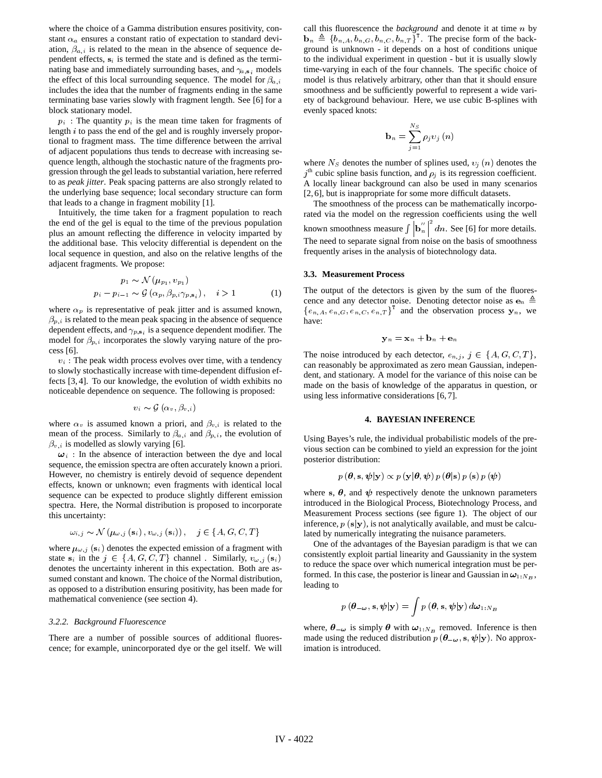where the choice of a Gamma distribution ensures positivity, constant  $\alpha_a$  ensures a constant ratio of expectation to standard deviation,  $\beta_{a,i}$  is related to the mean in the absence of sequence dependent effects,  $s_i$  is termed the state and is defined as the terminating base and immediately surrounding bases, and  $\gamma_{a,s_i}$  models the effect of this local surrounding sequence. The model for  $\beta_{a,i}$ includes the idea that the number of fragments ending in the same terminating base varies slowly with fragment length. See [6] for a block stationary model.

 $p_i$ : The quantity  $p_i$  is the mean time taken for fragments of length  $i$  to pass the end of the gel and is roughly inversely proportional to fragment mass. The time difference between the arrival of adjacent populations thus tends to decrease with increasing sequence length, although the stochastic nature of the fragments progression through the gel leads to substantial variation, here referred to as *peak jitter*. Peak spacing patterns are also strongly related to the underlying base sequence; local secondary structure can form that leads to a change in fragment mobility [1].

Intuitively, the time taken for a fragment population to reach the end of the gel is equal to the time of the previous population plus an amount reflecting the difference in velocity imparted by the additional base. This velocity differential is dependent on the local sequence in question, and also on the relative lengths of the adjacent fragments. We propose:

$$
p_1 \sim \mathcal{N}(\mu_{p_1}, v_{p_1})
$$
  
\n
$$
p_i - p_{i-1} \sim \mathcal{G}(\alpha_p, \beta_{p,i} \gamma_{p,s_i}), \quad i > 1
$$
 (1)

where  $\alpha_p$  is representative of peak jitter and is assumed known,  $\beta_{p,i}$  is related to the mean peak spacing in the absence of sequence dependent effects, and  $\gamma_{p, \mathbf{s}_i}$  is a sequence dependent modifier. The model for  $\beta_{p,i}$  incorporates the slowly varying nature of the process [6].

 $v_i$ : The peak width process evolves over time, with a tendency to slowly stochastically increase with time-dependent diffusion effects [3, 4]. To our knowledge, the evolution of width exhibits no noticeable dependence on sequence. The following is proposed:

$$
v_i \thicksim \mathcal{G}\left(\alpha_v, \beta_{v,i}\right)
$$

where  $\alpha_v$  is assumed known a priori, and  $\beta_{v,i}$  is related to the mean of the process. Similarly to  $\beta_{a,i}$  and  $\beta_{p,i}$ , the evolution of  $\beta_{v,i}$  is modelled as slowly varying [6].

 $\omega_i$ : In the absence of interaction between the dye and local sequence, the emission spectra are often accurately known a priori. However, no chemistry is entirely devoid of sequence dependent effects, known or unknown; even fragments with identical local sequence can be expected to produce slightly different emission spectra. Here, the Normal distribution is proposed to incorporate this uncertainty:

$$
\omega_{i,j} \sim \mathcal{N}\left(\mu_{\omega,j}\left(\mathbf{s}_i\right), v_{\omega,j}\left(\mathbf{s}_i\right)\right), \quad j \in \{A, G, C, T\}
$$

where  $\mu_{\omega,j}$  (s<sub>i</sub>) denotes the expected emission of a fragment with state  $s_i$  in the  $j \in \{A, G, C, T\}$  channel . Similarly,  $v_{\omega, j} (s_i)$ denotes the uncertainty inherent in this expectation. Both are assumed constant and known. The choice of the Normal distribution, as opposed to a distribution ensuring positivity, has been made for mathematical convenience (see section 4).

### *3.2.2. Background Fluorescence*

There are a number of possible sources of additional fluorescence; for example, unincorporated dye or the gel itself. We will call this fluorescence the *background* and denote it at time *n* by  $\mathbf{b}_n \triangleq \{b_{n,A}, b_{n,G}, b_{n,C}, b_{n,T}\}^T$ . The precise form of the background is unknown - it depends on a host of conditions unique to the individual experiment in question - but it is usually slowly time-varying in each of the four channels. The specific choice of model is thus relatively arbitrary, other than that it should ensure smoothness and be sufficiently powerful to represent a wide variety of background behaviour. Here, we use cubic B-splines with evenly spaced knots:

$$
\mathbf{b}_{n}=\sum_{j=1}^{N_{S}}\rho_{j}v_{j}\left(n\right)
$$

where  $N_S$  denotes the number of splines used,  $v_j(n)$  denotes the  $j<sup>th</sup>$  cubic spline basis function, and  $\rho_j$  is its regression coefficient. A locally linear background can also be used in many scenarios [2, 6], but is inappropriate for some more difficult datasets.

The smoothness of the process can be mathematically incorporated via the model on the regression coefficients using the well known smoothness measure  $\int |\mathbf{b}_{n}^{'}|^2 dn$ . See [6] for more details. The need to separate signal from noise on the basis of smoothness frequently arises in the analysis of biotechnology data.

#### **3.3. Measurement Process**

The output of the detectors is given by the sum of the fluorescence and any detector noise. Denoting detector noise as  $e_n \triangleq$  $\{e_{n,A}, e_{n,G}, e_{n,C}, e_{n,T}\}^{\perp}$  and the observation process  $y_n$ , we have:

$$
\mathbf{y}_n = \mathbf{x}_n + \mathbf{b}_n + \mathbf{e}_n
$$

The noise introduced by each detector,  $e_{n,j}$ ,  $j \in \{A, G, C, T\}$ , can reasonably be approximated as zero mean Gaussian, independent, and stationary. A model for the variance of this noise can be made on the basis of knowledge of the apparatus in question, or using less informative considerations [6, 7].

#### **4. BAYESIAN INFERENCE**

Using Bayes's rule, the individual probabilistic models of the previous section can be combined to yield an expression for the joint posterior distribution:

$$
p\left(\boldsymbol{\theta},\mathbf{s},\boldsymbol{\psi}|\mathbf{y}\right)\propto p\left(\mathbf{y}|\boldsymbol{\theta},\boldsymbol{\psi}\right)p\left(\boldsymbol{\theta}|\mathbf{s}\right)p\left(\mathbf{s}\right)p\left(\boldsymbol{\psi}\right)
$$

where s,  $\theta$ , and  $\psi$  respectively denote the unknown parameters introduced in the Biological Process, Biotechnology Process, and Measurement Process sections (see figure 1). The object of our inference,  $p(s|y)$ , is not analytically available, and must be calculated by numerically integrating the nuisance parameters.

 to reduce the space over which numerical integration must be per-One of the advantages of the Bayesian paradigm is that we can consistently exploit partial linearity and Gaussianity in the system formed. In this case, the posterior is linear and Gaussian in  $\omega_{1:N_B}$ , leading to

$$
p(\boldsymbol{\theta}_{-\boldsymbol{\omega}}, \mathbf{s}, \boldsymbol{\psi} | \mathbf{y}) = \int p(\boldsymbol{\theta}, \mathbf{s}, \boldsymbol{\psi} | \mathbf{y}) d\boldsymbol{\omega}_{1:N_B}
$$

where,  $\theta_{-\omega}$  is simply  $\theta$  with  $\omega_{1:N_B}$  removed. Inference is then made using the reduced distribution  $p(\theta_{-\omega}, s, \psi | y)$ . No approximation is introduced.